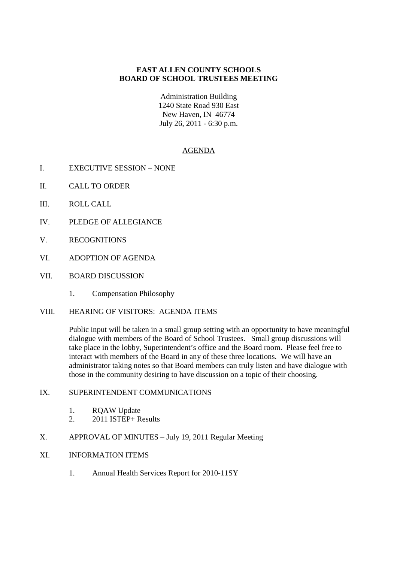## **EAST ALLEN COUNTY SCHOOLS BOARD OF SCHOOL TRUSTEES MEETING**

Administration Building 1240 State Road 930 East New Haven, IN 46774 July 26, 2011 - 6:30 p.m.

## AGENDA

- I. EXECUTIVE SESSION NONE
- II. CALL TO ORDER
- III. ROLL CALL
- IV. PLEDGE OF ALLEGIANCE
- V. RECOGNITIONS
- VI. ADOPTION OF AGENDA
- VII. BOARD DISCUSSION
	- 1. Compensation Philosophy
- VIII. HEARING OF VISITORS: AGENDA ITEMS

Public input will be taken in a small group setting with an opportunity to have meaningful dialogue with members of the Board of School Trustees. Small group discussions will take place in the lobby, Superintendent's office and the Board room. Please feel free to interact with members of the Board in any of these three locations. We will have an administrator taking notes so that Board members can truly listen and have dialogue with those in the community desiring to have discussion on a topic of their choosing.

## IX. SUPERINTENDENT COMMUNICATIONS

- 1. RQAW Update
- 2. 2011 ISTEP+ Results
- X. APPROVAL OF MINUTES July 19, 2011 Regular Meeting
- XI. INFORMATION ITEMS
	- 1. Annual Health Services Report for 2010-11SY